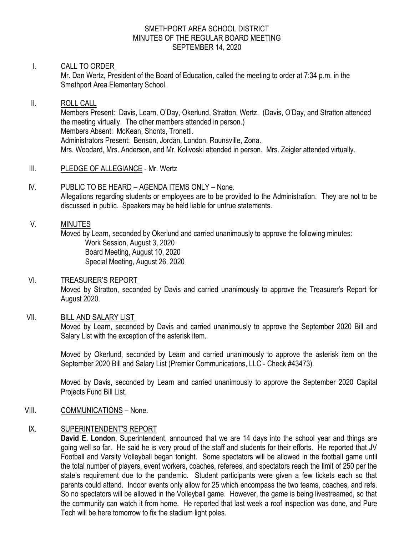#### SMETHPORT AREA SCHOOL DISTRICT MINUTES OF THE REGULAR BOARD MEETING SEPTEMBER 14, 2020

#### I. CALL TO ORDER

Mr. Dan Wertz, President of the Board of Education, called the meeting to order at 7:34 p.m. in the Smethport Area Elementary School.

## II. ROLL CALL Members Present: Davis, Learn, O'Day, Okerlund, Stratton, Wertz. (Davis, O'Day, and Stratton attended the meeting virtually. The other members attended in person.) Members Absent: McKean, Shonts, Tronetti. Administrators Present: Benson, Jordan, London, Rounsville, Zona. Mrs. Woodard, Mrs. Anderson, and Mr. Kolivoski attended in person. Mrs. Zeigler attended virtually.

- III. PLEDGE OF ALLEGIANCE Mr. Wertz
- IV. PUBLIC TO BE HEARD AGENDA ITEMS ONLY None. Allegations regarding students or employees are to be provided to the Administration. They are not to be discussed in public. Speakers may be held liable for untrue statements.

#### V. MINUTES

Moved by Learn, seconded by Okerlund and carried unanimously to approve the following minutes: Work Session, August 3, 2020 Board Meeting, August 10, 2020 Special Meeting, August 26, 2020

## VI. TREASURER'S REPORT

Moved by Stratton, seconded by Davis and carried unanimously to approve the Treasurer's Report for August 2020.

## VII. BILL AND SALARY LIST

Moved by Learn, seconded by Davis and carried unanimously to approve the September 2020 Bill and Salary List with the exception of the asterisk item.

Moved by Okerlund, seconded by Learn and carried unanimously to approve the asterisk item on the September 2020 Bill and Salary List (Premier Communications, LLC - Check #43473).

Moved by Davis, seconded by Learn and carried unanimously to approve the September 2020 Capital Projects Fund Bill List.

## VIII. COMMUNICATIONS – None.

## IX. SUPERINTENDENT'S REPORT

**David E. London**, Superintendent, announced that we are 14 days into the school year and things are going well so far. He said he is very proud of the staff and students for their efforts. He reported that JV Football and Varsity Volleyball began tonight. Some spectators will be allowed in the football game until the total number of players, event workers, coaches, referees, and spectators reach the limit of 250 per the state's requirement due to the pandemic. Student participants were given a few tickets each so that parents could attend. Indoor events only allow for 25 which encompass the two teams, coaches, and refs. So no spectators will be allowed in the Volleyball game. However, the game is being livestreamed, so that the community can watch it from home. He reported that last week a roof inspection was done, and Pure Tech will be here tomorrow to fix the stadium light poles.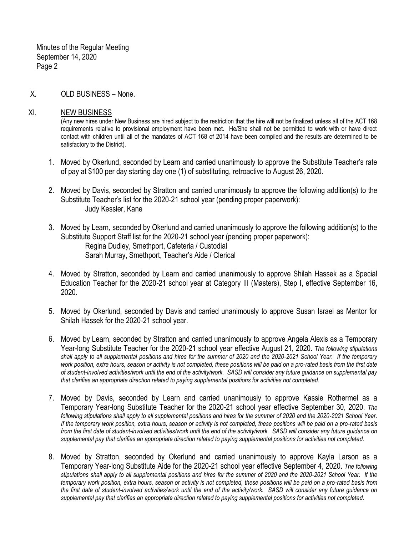X. OLD BUSINESS – None.

#### XI. NEW BUSINESS

(Any new hires under New Business are hired subject to the restriction that the hire will not be finalized unless all of the ACT 168 requirements relative to provisional employment have been met. He/She shall not be permitted to work with or have direct contact with children until all of the mandates of ACT 168 of 2014 have been compiled and the results are determined to be satisfactory to the District).

- 1. Moved by Okerlund, seconded by Learn and carried unanimously to approve the Substitute Teacher's rate of pay at \$100 per day starting day one (1) of substituting, retroactive to August 26, 2020.
- 2. Moved by Davis, seconded by Stratton and carried unanimously to approve the following addition(s) to the Substitute Teacher's list for the 2020-21 school year (pending proper paperwork): Judy Kessler, Kane
- 3. Moved by Learn, seconded by Okerlund and carried unanimously to approve the following addition(s) to the Substitute Support Staff list for the 2020-21 school year (pending proper paperwork): Regina Dudley, Smethport, Cafeteria / Custodial Sarah Murray, Smethport, Teacher's Aide / Clerical
- 4. Moved by Stratton, seconded by Learn and carried unanimously to approve Shilah Hassek as a Special Education Teacher for the 2020-21 school year at Category III (Masters), Step I, effective September 16, 2020.
- 5. Moved by Okerlund, seconded by Davis and carried unanimously to approve Susan Israel as Mentor for Shilah Hassek for the 2020-21 school year.
- 6. Moved by Learn, seconded by Stratton and carried unanimously to approve Angela Alexis as a Temporary Year-long Substitute Teacher for the 2020-21 school year effective August 21, 2020. *The following stipulations shall apply to all supplemental positions and hires for the summer of 2020 and the 2020-2021 School Year. If the temporary work position, extra hours, season or activity is not completed, these positions will be paid on a pro-rated basis from the first date of student-involved activities/work until the end of the activity/work. SASD will consider any future guidance on supplemental pay that clarifies an appropriate direction related to paying supplemental positions for activities not completed.*
- 7. Moved by Davis, seconded by Learn and carried unanimously to approve Kassie Rothermel as a Temporary Year-long Substitute Teacher for the 2020-21 school year effective September 30, 2020. *The following stipulations shall apply to all supplemental positions and hires for the summer of 2020 and the 2020-2021 School Year. If the temporary work position, extra hours, season or activity is not completed, these positions will be paid on a pro-rated basis from the first date of student-involved activities/work until the end of the activity/work. SASD will consider any future guidance on supplemental pay that clarifies an appropriate direction related to paying supplemental positions for activities not completed.*
- 8. Moved by Stratton, seconded by Okerlund and carried unanimously to approve Kayla Larson as a Temporary Year-long Substitute Aide for the 2020-21 school year effective September 4, 2020. *The following stipulations shall apply to all supplemental positions and hires for the summer of 2020 and the 2020-2021 School Year. If the temporary work position, extra hours, season or activity is not completed, these positions will be paid on a pro-rated basis from the first date of student-involved activities/work until the end of the activity/work. SASD will consider any future guidance on supplemental pay that clarifies an appropriate direction related to paying supplemental positions for activities not completed.*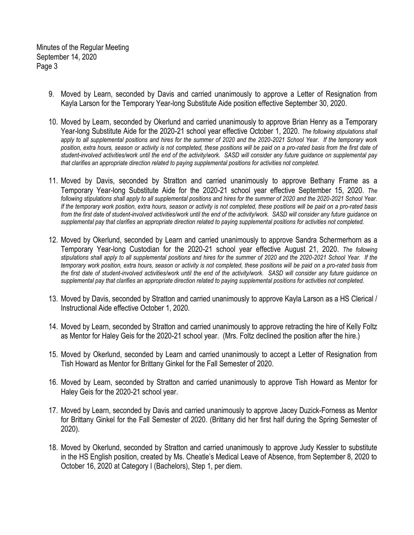- 9. Moved by Learn, seconded by Davis and carried unanimously to approve a Letter of Resignation from Kayla Larson for the Temporary Year-long Substitute Aide position effective September 30, 2020.
- 10. Moved by Learn, seconded by Okerlund and carried unanimously to approve Brian Henry as a Temporary Year-long Substitute Aide for the 2020-21 school year effective October 1, 2020. *The following stipulations shall apply to all supplemental positions and hires for the summer of 2020 and the 2020-2021 School Year. If the temporary work position, extra hours, season or activity is not completed, these positions will be paid on a pro-rated basis from the first date of student-involved activities/work until the end of the activity/work. SASD will consider any future guidance on supplemental pay that clarifies an appropriate direction related to paying supplemental positions for activities not completed.*
- 11. Moved by Davis, seconded by Stratton and carried unanimously to approve Bethany Frame as a Temporary Year-long Substitute Aide for the 2020-21 school year effective September 15, 2020. *The following stipulations shall apply to all supplemental positions and hires for the summer of 2020 and the 2020-2021 School Year. If the temporary work position, extra hours, season or activity is not completed, these positions will be paid on a pro-rated basis from the first date of student-involved activities/work until the end of the activity/work. SASD will consider any future guidance on supplemental pay that clarifies an appropriate direction related to paying supplemental positions for activities not completed.*
- 12. Moved by Okerlund, seconded by Learn and carried unanimously to approve Sandra Schermerhorn as a Temporary Year-long Custodian for the 2020-21 school year effective August 21, 2020. *The following stipulations shall apply to all supplemental positions and hires for the summer of 2020 and the 2020-2021 School Year. If the temporary work position, extra hours, season or activity is not completed, these positions will be paid on a pro-rated basis from the first date of student-involved activities/work until the end of the activity/work. SASD will consider any future guidance on supplemental pay that clarifies an appropriate direction related to paying supplemental positions for activities not completed.*
- 13. Moved by Davis, seconded by Stratton and carried unanimously to approve Kayla Larson as a HS Clerical / Instructional Aide effective October 1, 2020.
- 14. Moved by Learn, seconded by Stratton and carried unanimously to approve retracting the hire of Kelly Foltz as Mentor for Haley Geis for the 2020-21 school year. (Mrs. Foltz declined the position after the hire.)
- 15. Moved by Okerlund, seconded by Learn and carried unanimously to accept a Letter of Resignation from Tish Howard as Mentor for Brittany Ginkel for the Fall Semester of 2020.
- 16. Moved by Learn, seconded by Stratton and carried unanimously to approve Tish Howard as Mentor for Haley Geis for the 2020-21 school year.
- 17. Moved by Learn, seconded by Davis and carried unanimously to approve Jacey Duzick-Forness as Mentor for Brittany Ginkel for the Fall Semester of 2020. (Brittany did her first half during the Spring Semester of 2020).
- 18. Moved by Okerlund, seconded by Stratton and carried unanimously to approve Judy Kessler to substitute in the HS English position, created by Ms. Cheatle's Medical Leave of Absence, from September 8, 2020 to October 16, 2020 at Category I (Bachelors), Step 1, per diem.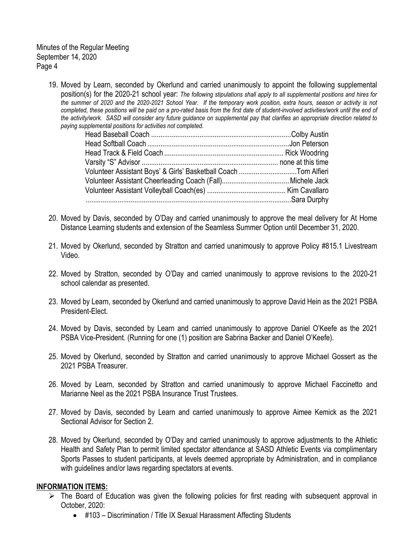19. Moved by Learn, seconded by Okerlund and carried unanimously to appoint the following supplemental position(s) for the 2020-21 school year: *The following stipulations shall apply to all supplemental positions and hires for the summer of 2020 and the 2020-2021 School Year. If the temporary work position, extra hours, season or activity is not completed, these positions will be paid on a pro-rated basis from the first date of student-involved activities/work until the end of the activity/work. SASD will consider any future guidance on supplemental pay that clarifies an appropriate direction related to paying supplemental positions for activities not completed.*

| Volunteer Assistant Boys' & Girls' Basketball Coach Tom Alfieri |  |
|-----------------------------------------------------------------|--|
|                                                                 |  |
|                                                                 |  |
|                                                                 |  |

- 20. Moved by Davis, seconded by O'Day and carried unanimously to approve the meal delivery for At Home Distance Learning students and extension of the Seamless Summer Option until December 31, 2020.
- 21. Moved by Okerlund, seconded by Stratton and carried unanimously to approve Policy #815.1 Livestream Video.
- 22. Moved by Stratton, seconded by O'Day and carried unanimously to approve revisions to the 2020-21 school calendar as presented.
- 23. Moved by Learn, seconded by Okerlund and carried unanimously to approve David Hein as the 2021 PSBA President-Elect.
- 24. Moved by Davis, seconded by Learn and carried unanimously to approve Daniel O'Keefe as the 2021 PSBA Vice-President. (Running for one (1) position are Sabrina Backer and Daniel O'Keefe).
- 25. Moved by Okerlund, seconded by Stratton and carried unanimously to approve Michael Gossert as the 2021 PSBA Treasurer.
- 26. Moved by Learn, seconded by Stratton and carried unanimously to approve Michael Faccinetto and Marianne Neel as the 2021 PSBA Insurance Trust Trustees.
- 27. Moved by Davis, seconded by Learn and carried unanimously to approve Aimee Kemick as the 2021 Sectional Advisor for Section 2.
- 28. Moved by Okerlund, seconded by O'Day and carried unanimously to approve adjustments to the Athletic Health and Safety Plan to permit limited spectator attendance at SASD Athletic Events via complimentary Sports Passes to student participants, at levels deemed appropriate by Administration, and in compliance with guidelines and/or laws regarding spectators at events.

#### **INFORMATION ITEMS:**

- $\triangleright$  The Board of Education was given the following policies for first reading with subsequent approval in October, 2020:
	- #103 Discrimination / Title IX Sexual Harassment Affecting Students